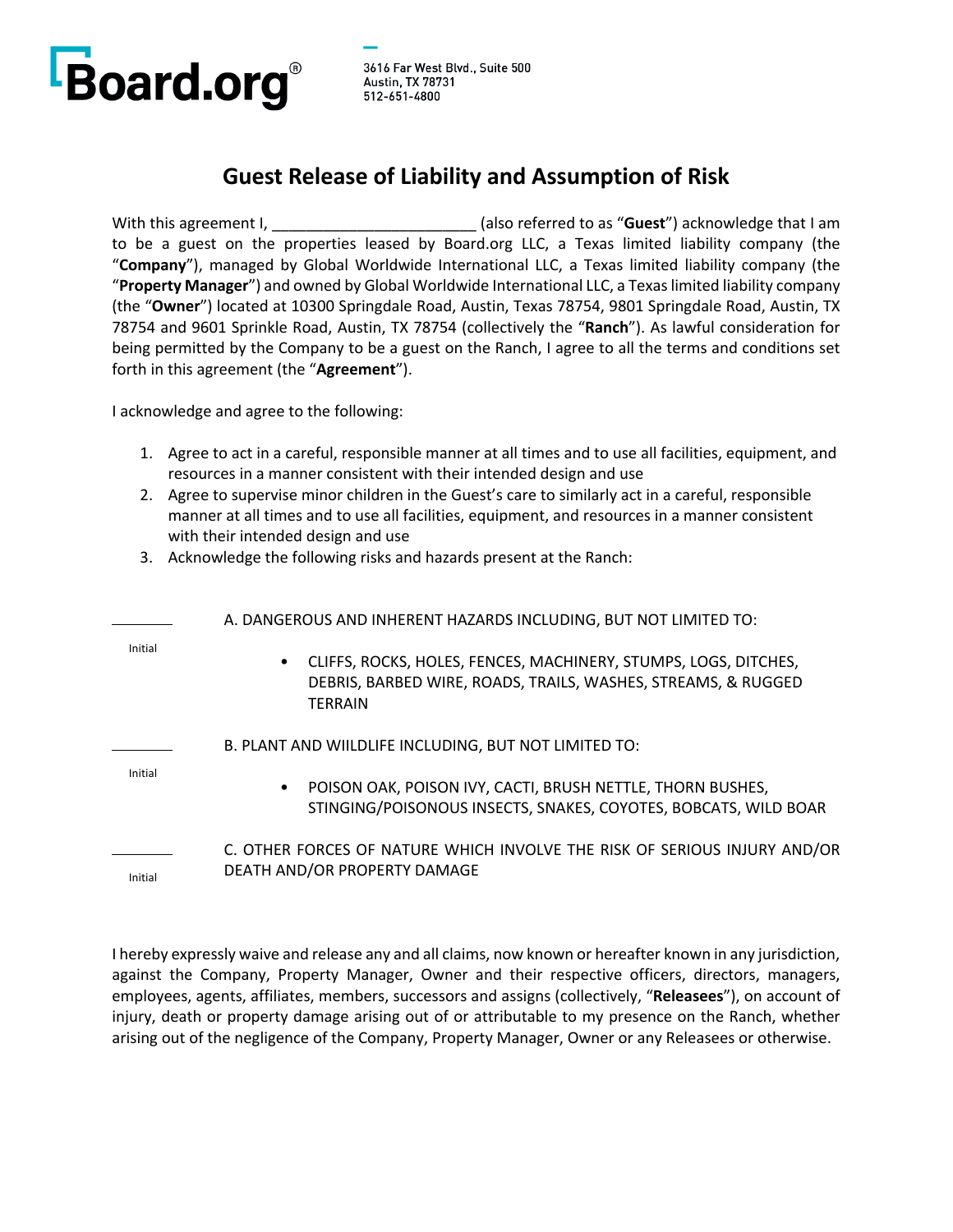

## **Guest Release of Liability and Assumption of Risk**

With this agreement I, \_\_\_\_\_\_\_\_\_\_\_\_\_\_\_\_\_\_\_\_\_\_\_\_ (also referred to as "**Guest**") acknowledge that I am to be a guest on the properties leased by Board.org LLC, a Texas limited liability company (the "**Company**"), managed by Global Worldwide International LLC, a Texas limited liability company (the "**Property Manager**") and owned by Global Worldwide International LLC, a Texas limited liability company (the "**Owner**") located at 10300 Springdale Road, Austin, Texas 78754, 9801 Springdale Road, Austin, TX 78754 and 9601 Sprinkle Road, Austin, TX 78754 (collectively the "**Ranch**"). As lawful consideration for being permitted by the Company to be a guest on the Ranch, I agree to all the terms and conditions set forth in this agreement (the "**Agreement**").

I acknowledge and agree to the following:

- 1. Agree to act in a careful, responsible manner at all times and to use all facilities, equipment, and resources in a manner consistent with their intended design and use
- 2. Agree to supervise minor children in the Guest's care to similarly act in a careful, responsible manner at all times and to use all facilities, equipment, and resources in a manner consistent with their intended design and use
- 3. Acknowledge the following risks and hazards present at the Ranch:

|         | A. DANGEROUS AND INHERENT HAZARDS INCLUDING, BUT NOT LIMITED TO:                                                                                                |  |
|---------|-----------------------------------------------------------------------------------------------------------------------------------------------------------------|--|
| Initial | CLIFFS, ROCKS, HOLES, FENCES, MACHINERY, STUMPS, LOGS, DITCHES,<br>$\bullet$<br>DEBRIS, BARBED WIRE, ROADS, TRAILS, WASHES, STREAMS, & RUGGED<br><b>TERRAIN</b> |  |
| Initial | B. PLANT AND WIILDLIFE INCLUDING, BUT NOT LIMITED TO:                                                                                                           |  |
|         | POISON OAK, POISON IVY, CACTI, BRUSH NETTLE, THORN BUSHES,<br>$\bullet$<br>STINGING/POISONOUS INSECTS, SNAKES, COYOTES, BOBCATS, WILD BOAR                      |  |
| Initial | C. OTHER FORCES OF NATURE WHICH INVOLVE THE RISK OF SERIOUS INJURY AND/OR<br>DEATH AND/OR PROPERTY DAMAGE                                                       |  |

I hereby expressly waive and release any and all claims, now known or hereafter known in any jurisdiction, against the Company, Property Manager, Owner and their respective officers, directors, managers, employees, agents, affiliates, members, successors and assigns (collectively, "**Releasees**"), on account of injury, death or property damage arising out of or attributable to my presence on the Ranch, whether arising out of the negligence of the Company, Property Manager, Owner or any Releasees or otherwise.